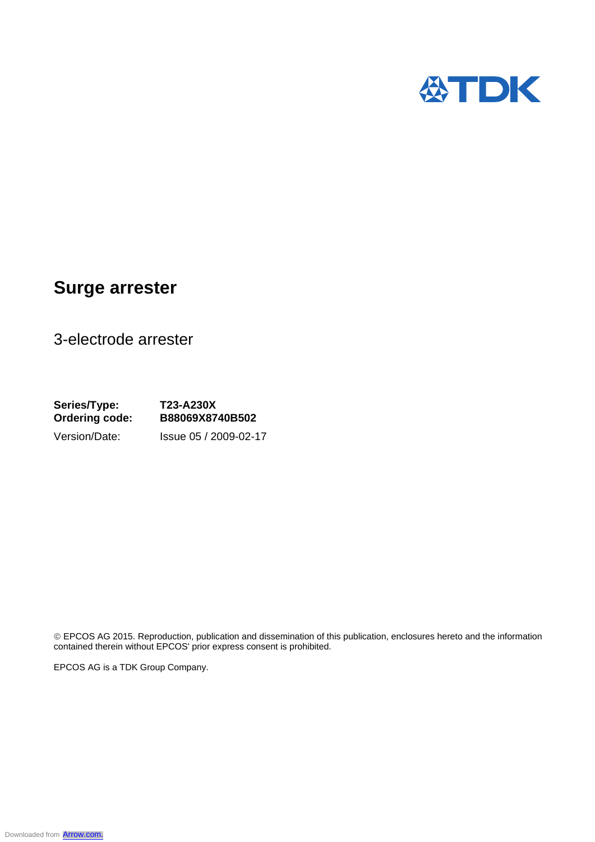

## **Surge arrester**

3-electrode arrester

**Series/Type: T23-A230X Ordering code: B88069X8740B502**  Version/Date: Issue 05 / 2009-02-17

 EPCOS AG 2015. Reproduction, publication and dissemination of this publication, enclosures hereto and the information contained therein without EPCOS' prior express consent is prohibited.

EPCOS AG is a TDK Group Company.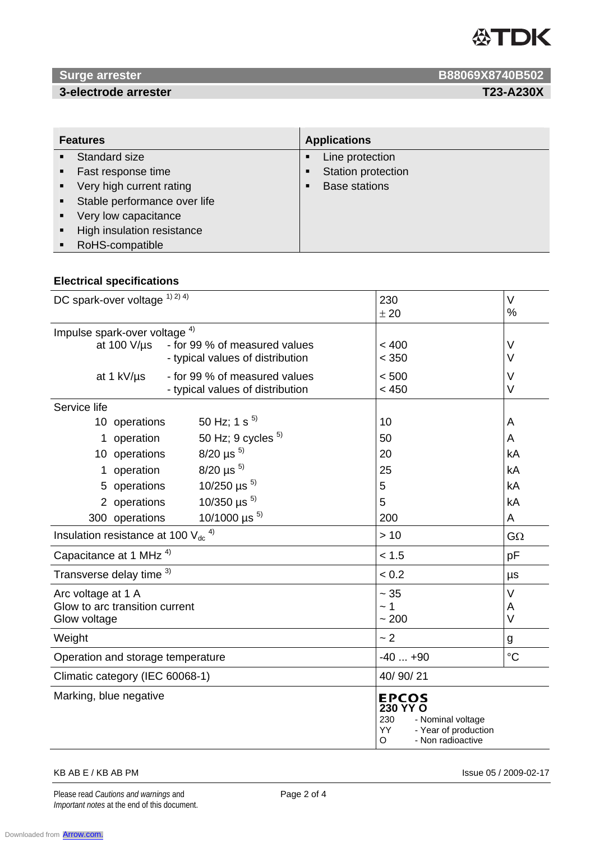

## **3-electrode arrester T23-A230X**

**1988069X8740B502 B88069X8740B502** 

| <b>Features</b> |                                | <b>Applications</b> |                      |
|-----------------|--------------------------------|---------------------|----------------------|
|                 | • Standard size                |                     | Line protection      |
| $\blacksquare$  | Fast response time             | ٠                   | Station protection   |
|                 | • Very high current rating     | п                   | <b>Base stations</b> |
|                 | • Stable performance over life |                     |                      |
| $\blacksquare$  | Very low capacitance           |                     |                      |
| $\blacksquare$  | High insulation resistance     |                     |                      |
| $\blacksquare$  | RoHS-compatible                |                     |                      |

## **Electrical specifications**

| DC spark-over voltage 1) 2) 4)                             |                                  | 230                                                                                                                 | $\vee$      |
|------------------------------------------------------------|----------------------------------|---------------------------------------------------------------------------------------------------------------------|-------------|
|                                                            |                                  | ± 20                                                                                                                | %           |
| Impulse spark-over voltage <sup>4)</sup>                   |                                  |                                                                                                                     |             |
| at 100 V/µs                                                | - for 99 % of measured values    | < 400                                                                                                               | $\vee$      |
|                                                            | - typical values of distribution | < 350                                                                                                               | $\vee$      |
| at 1 kV/µs                                                 | - for 99 % of measured values    | < 500                                                                                                               | V           |
|                                                            | - typical values of distribution | < 450                                                                                                               | V           |
| Service life                                               |                                  |                                                                                                                     |             |
| 10 operations                                              | 50 Hz; 1 s $^{5)}$               | 10                                                                                                                  | A           |
| operation<br>1.                                            | 50 Hz; 9 cycles $5$              | 50                                                                                                                  | A           |
| 10 operations                                              | $8/20 \,\mu s^{-5}$              | 20                                                                                                                  | kA          |
| operation                                                  | $8/20 \,\mu s^{-5}$              | 25                                                                                                                  | kA          |
| 5 operations                                               | 10/250 $\mu s^{5}$               | 5                                                                                                                   | kA          |
| 2 operations                                               | 10/350 $\mu$ s <sup>5)</sup>     | 5                                                                                                                   | kA          |
| 300 operations                                             | 10/1000 $\mu s^{5}$              | 200                                                                                                                 | A           |
| Insulation resistance at 100 $V_{dc}$ <sup>4)</sup><br>>10 |                                  | $G\Omega$                                                                                                           |             |
| Capacitance at 1 MHz <sup>4)</sup>                         |                                  | < 1.5                                                                                                               | pF          |
| Transverse delay time 3)                                   |                                  | < 0.2                                                                                                               | μs          |
| Arc voltage at 1 A                                         |                                  | $\sim 35$                                                                                                           | V           |
| Glow to arc transition current                             |                                  | ~1~                                                                                                                 | A           |
| Glow voltage                                               |                                  | ~1200                                                                                                               | $\vee$      |
| Weight                                                     |                                  | ~2                                                                                                                  | g           |
| Operation and storage temperature                          |                                  | $-40+90$                                                                                                            | $^{\circ}C$ |
| 40/90/21<br>Climatic category (IEC 60068-1)                |                                  |                                                                                                                     |             |
| Marking, blue negative                                     |                                  | <b>EPCOS</b><br>230 YY O<br>230<br>- Nominal voltage<br><b>YY</b><br>- Year of production<br>O<br>- Non radioactive |             |

### KB AB E / KB AB PM Issue 05 / 2009-02-17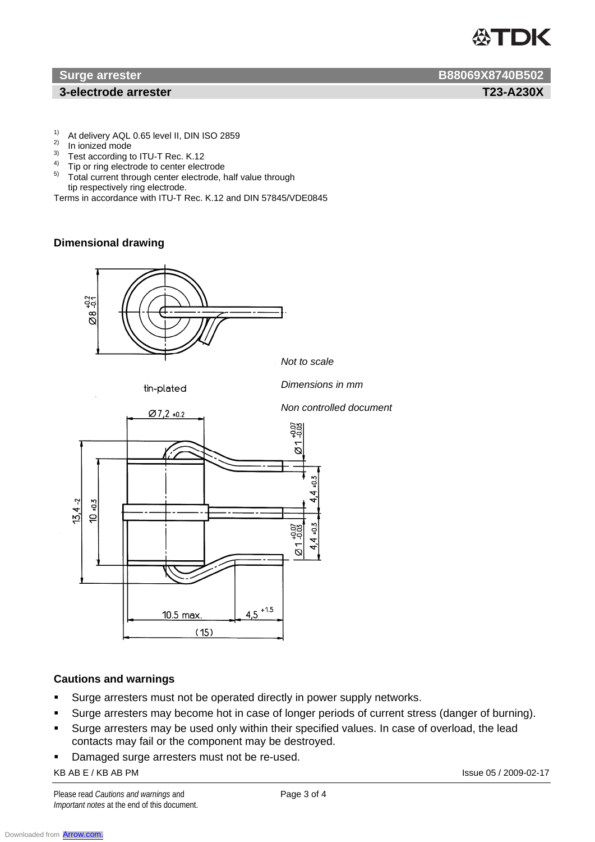# **ASTDK**

## **1** 3-electrode arrester T23-A230X

- <sup>1)</sup> At delivery AQL 0.65 level II, DIN ISO 2859
- <sup>2)</sup> In ionized mode
- Test according to ITU-T Rec. K.12
- <sup>4)</sup> Tip or ring electrode to center electrode
- 5) Total current through center electrode, half value through tip respectively ring electrode.

Terms in accordance with ITU-T Rec. K.12 and DIN 57845/VDE0845

## **Dimensional drawing**



## **Cautions and warnings**

- **Surge arresters must not be operated directly in power supply networks.**
- Surge arresters may become hot in case of longer periods of current stress (danger of burning).
- Surge arresters may be used only within their specified values. In case of overload, the lead contacts may fail or the component may be destroyed.
- KB AB E / KB AB PM **Issue 05 / 2009-02-17 -** Damaged surge arresters must not be re-used.